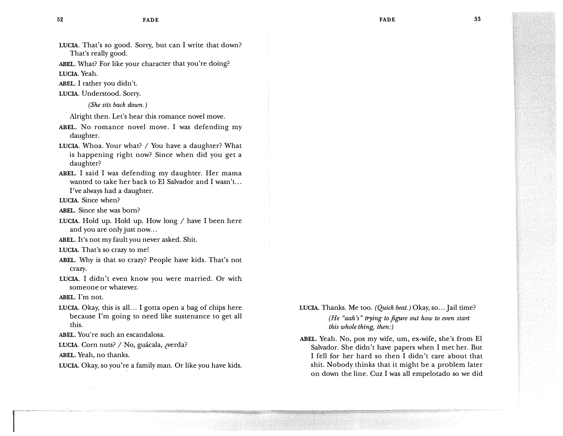LUCIA. Thanks. Me too. *(Quick beat.)* Okay, so... Jail time? *(He "aah's" trying to figure out how to even start this whole thing, then:)* 

ABEL. Yeah. No, pos my wife, um, ex-wife, she's from El Salvador. She didn't have papers when I met her. But I fell for her hard so then I didn't care about that shit. Nobody thinks that it might be a problem later on down the line. Cuz I was all empelotado so we did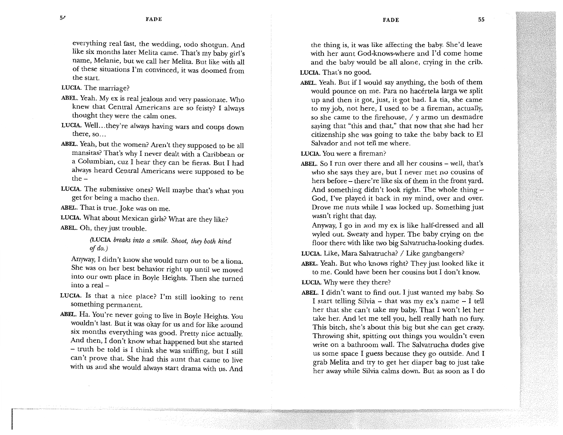everything real fast, the wedding, todo shotgun. And like six months later Melita came. That's my baby girl's name, Melanie, but we call her Melita. But like with all of these situations I'm convinced, it was doomed from the start.

- LUCIA. The marriage?
- ABEL. Yeah. My ex is real jealous and very passionate. Who knew that Central Americans are so feisty? I always thought they were the calm ones.
- LUCIA. Well...they're always having wars and coups down there, so...
- ABEL. Yeah, but the women? Aren't they supposed to be all mansitas? That's why I never dealt with a Caribbean or a Columbian, cuz I hear they can be fieras. But I had always heard Central Americans were supposed to be the –
- LUCIA. The submissive ones? Well maybe that's what you get for being a macho then.
- ABEL. That is true. Joke was on me.
- LUCIA. What about Mexican girls? What are they like?
- ABEL. Oh, they just trouble.

(LUCIA breaks into a smile. Shoot, they both kind of do.)

Anyway, I didn't know she would turn out to be a liona. She was on her best behavior right up until we moved into our own place in Boyle Heights. Then she turned into a real -

- LUCIA. Is that a nice place? I'm still looking to rent something permanent.
- ABEL. Ha. You're never going to live in Boyle Heights. You wouldn't last. But it was okay for us and for like around six months everything was good. Pretty nice actually. And then, I don't know what happened but she started - truth be told is I think she was sniffing, but I still can't prove that. She had this aunt that came to live with us and she would always start drama with us. And